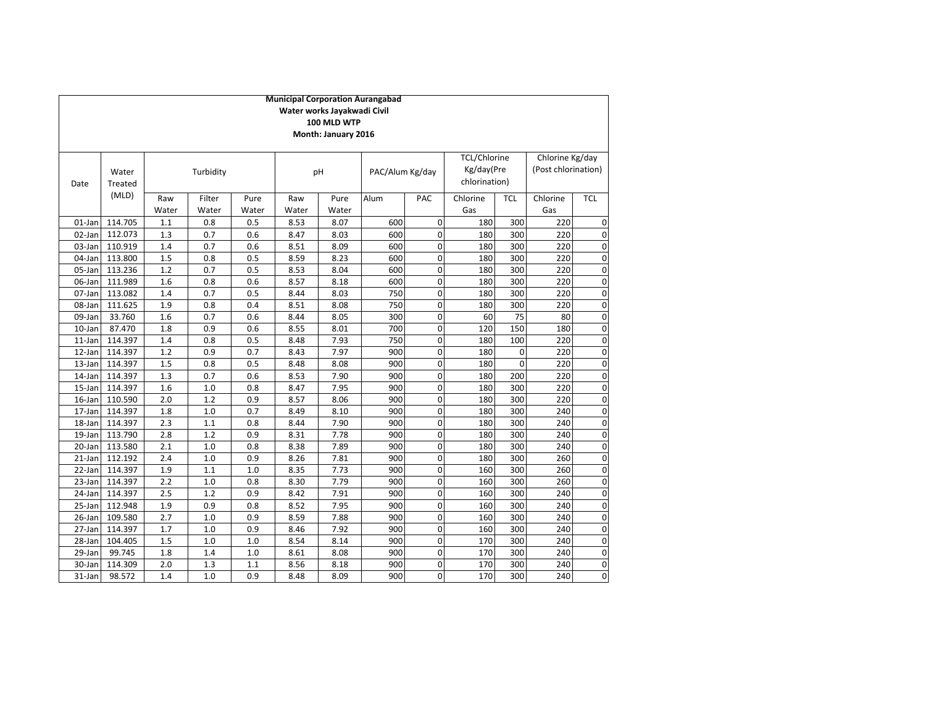|           | <b>Municipal Corporation Aurangabad</b> |       |           |       |       |       |                 |                |                     |             |                     |             |
|-----------|-----------------------------------------|-------|-----------|-------|-------|-------|-----------------|----------------|---------------------|-------------|---------------------|-------------|
|           | Water works Jayakwadi Civil             |       |           |       |       |       |                 |                |                     |             |                     |             |
|           | 100 MLD WTP                             |       |           |       |       |       |                 |                |                     |             |                     |             |
|           | Month: January 2016                     |       |           |       |       |       |                 |                |                     |             |                     |             |
|           |                                         |       |           |       |       |       |                 |                | <b>TCL/Chlorine</b> |             | Chlorine Kg/day     |             |
|           | Water                                   |       | Turbidity |       |       | pH    | PAC/Alum Kg/day |                | Kg/day(Pre          |             | (Post chlorination) |             |
| Date      | Treated                                 |       |           |       |       |       |                 |                | chlorination)       |             |                     |             |
|           | (MLD)                                   |       |           |       |       |       |                 |                |                     |             |                     |             |
|           |                                         | Raw   | Filter    | Pure  | Raw   | Pure  | Alum            | PAC            | Chlorine            | TCL         | Chlorine            | <b>TCL</b>  |
|           |                                         | Water | Water     | Water | Water | Water |                 |                | Gas                 |             | Gas                 |             |
| 01-Jan    | 114.705                                 | 1.1   | 0.8       | 0.5   | 8.53  | 8.07  | 600             | $\Omega$       | 180                 | 300         | 220                 | $\mathbf 0$ |
| 02-Jan    | 112.073                                 | 1.3   | 0.7       | 0.6   | 8.47  | 8.03  | 600             | 0              | 180                 | 300         | 220                 | 0           |
| 03-Jan    | 110.919                                 | 1.4   | 0.7       | 0.6   | 8.51  | 8.09  | 600             | $\mathbf 0$    | 180                 | 300         | 220                 | 0           |
| 04-Jan    | 113.800                                 | 1.5   | 0.8       | 0.5   | 8.59  | 8.23  | 600             | $\mathbf 0$    | 180                 | 300         | 220                 | 0           |
| 05-Jan    | 113.236                                 | 1.2   | 0.7       | 0.5   | 8.53  | 8.04  | 600             | $\mathbf 0$    | 180                 | 300         | 220                 | 0           |
| 06-Jan    | 111.989                                 | 1.6   | 0.8       | 0.6   | 8.57  | 8.18  | 600             | 0              | 180                 | 300         | 220                 | 0           |
| 07-Jan    | 113.082                                 | 1.4   | 0.7       | 0.5   | 8.44  | 8.03  | 750             | $\mathbf 0$    | 180                 | 300         | 220                 | 0           |
| 08-Jan    | 111.625                                 | 1.9   | 0.8       | 0.4   | 8.51  | 8.08  | 750             | $\pmb{0}$      | 180                 | 300         | 220                 | 0           |
| 09-Jan    | 33.760                                  | 1.6   | 0.7       | 0.6   | 8.44  | 8.05  | 300             | $\mathbf 0$    | 60                  | 75          | 80                  | 0           |
| $10$ -Jan | 87.470                                  | 1.8   | 0.9       | 0.6   | 8.55  | 8.01  | 700             | $\mathbf 0$    | 120                 | 150         | 180                 | 0           |
| 11-Jan    | 114.397                                 | 1.4   | 0.8       | 0.5   | 8.48  | 7.93  | 750             | $\mathbf 0$    | 180                 | 100         | 220                 | $\mathbf 0$ |
| 12-Jan    | 114.397                                 | 1.2   | 0.9       | 0.7   | 8.43  | 7.97  | 900             | $\mathbf 0$    | 180                 | 0           | 220                 | 0           |
| 13-Jan    | 114.397                                 | 1.5   | 0.8       | 0.5   | 8.48  | 8.08  | 900             | $\mathbf 0$    | 180                 | $\mathbf 0$ | 220                 | 0           |
| 14-Jan    | 114.397                                 | 1.3   | 0.7       | 0.6   | 8.53  | 7.90  | 900             | $\mathbf 0$    | 180                 | 200         | 220                 | 0           |
| 15-Jan    | 114.397                                 | 1.6   | 1.0       | 0.8   | 8.47  | 7.95  | 900             | $\mathbf 0$    | 180                 | 300         | 220                 | 0           |
| 16-Jan    | 110.590                                 | 2.0   | 1.2       | 0.9   | 8.57  | 8.06  | 900             | 0              | 180                 | 300         | 220                 | 0           |
| 17-Jan    | 114.397                                 | 1.8   | 1.0       | 0.7   | 8.49  | 8.10  | 900             | $\mathbf 0$    | 180                 | 300         | 240                 | $\mathbf 0$ |
| 18-Jan    | 114.397                                 | 2.3   | 1.1       | 0.8   | 8.44  | 7.90  | 900             | $\mathbf 0$    | 180                 | 300         | 240                 | $\mathbf 0$ |
| 19-Jan    | 113.790                                 | 2.8   | 1.2       | 0.9   | 8.31  | 7.78  | 900             | $\mathbf 0$    | 180                 | 300         | 240                 | 0           |
| 20-Jan    | 113.580                                 | 2.1   | 1.0       | 0.8   | 8.38  | 7.89  | 900             | $\mathbf 0$    | 180                 | 300         | 240                 | $\mathbf 0$ |
| $21$ -Jan | 112.192                                 | 2.4   | 1.0       | 0.9   | 8.26  | 7.81  | 900             | $\mathbf 0$    | 180                 | 300         | 260                 | 0           |
| 22-Jan    | 114.397                                 | 1.9   | 1.1       | $1.0$ | 8.35  | 7.73  | 900             | $\mathbf 0$    | 160                 | 300         | 260                 | 0           |
| 23-Jan    | 114.397                                 | 2.2   | 1.0       | 0.8   | 8.30  | 7.79  | 900             | $\pmb{0}$      | 160                 | 300         | 260                 | 0           |
| 24-Jan    | 114.397                                 | 2.5   | 1.2       | 0.9   | 8.42  | 7.91  | 900             | $\mathbf 0$    | 160                 | 300         | 240                 | 0           |
| 25-Jan    | 112.948                                 | 1.9   | 0.9       | 0.8   | 8.52  | 7.95  | 900             | $\mathbf 0$    | 160                 | 300         | 240                 | 0           |
| 26-Jan    | 109.580                                 | 2.7   | 1.0       | 0.9   | 8.59  | 7.88  | 900             | 0              | 160                 | 300         | 240                 | $\mathbf 0$ |
| 27-Jan    | 114.397                                 | 1.7   | 1.0       | 0.9   | 8.46  | 7.92  | 900             | $\mathbf 0$    | 160                 | 300         | 240                 | 0           |
| 28-Jan    | 104.405                                 | 1.5   | 1.0       | 1.0   | 8.54  | 8.14  | 900             | $\mathbf 0$    | 170                 | 300         | 240                 | 0           |
| 29-Jan    | 99.745                                  | 1.8   | 1.4       | $1.0$ | 8.61  | 8.08  | 900             | 0              | 170                 | 300         | 240                 | 0           |
| 30-Jan    | 114.309                                 | 2.0   | 1.3       | 1.1   | 8.56  | 8.18  | 900             | 0              | 170                 | 300         | 240                 | 0           |
| 31-Jan    | 98.572                                  | 1.4   | 1.0       | 0.9   | 8.48  | 8.09  | 900             | $\overline{0}$ | 170                 | 300         | 240                 | $\Omega$    |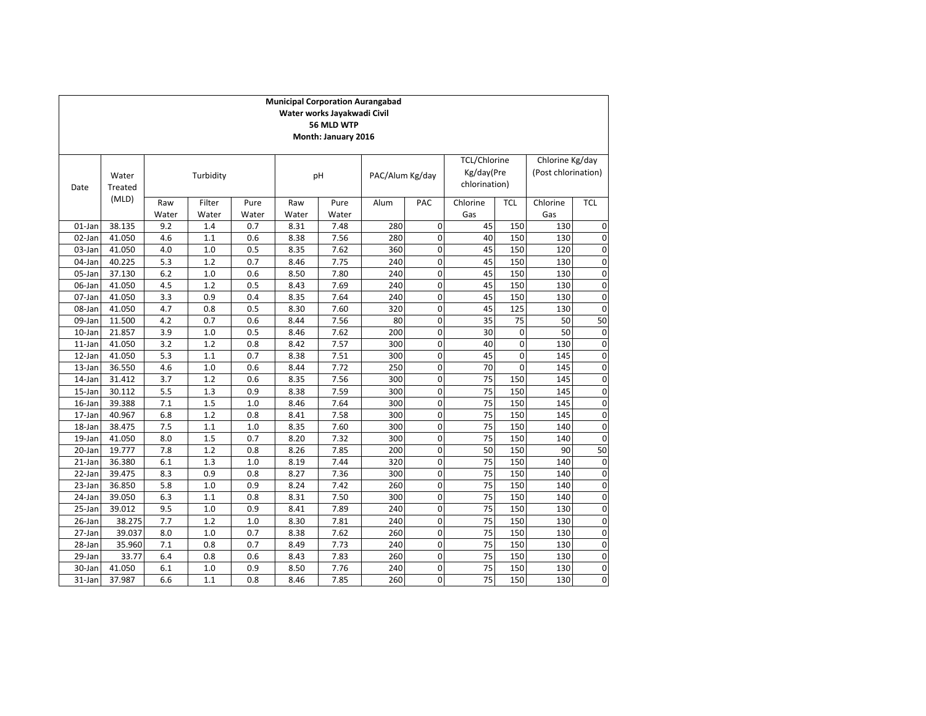|           | <b>Municipal Corporation Aurangabad</b><br>Water works Jayakwadi Civil<br>56 MLD WTP<br>Month: January 2016 |              |                 |               |              |               |                 |             |                                             |                                        |                 |            |
|-----------|-------------------------------------------------------------------------------------------------------------|--------------|-----------------|---------------|--------------|---------------|-----------------|-------------|---------------------------------------------|----------------------------------------|-----------------|------------|
| Date      | Water<br>Treated                                                                                            | Turbidity    |                 |               | pH           |               | PAC/Alum Kg/day |             | TCL/Chlorine<br>Kg/day(Pre<br>chlorination) | Chlorine Kg/day<br>(Post chlorination) |                 |            |
|           | (MLD)                                                                                                       | Raw<br>Water | Filter<br>Water | Pure<br>Water | Raw<br>Water | Pure<br>Water | Alum            | PAC         | Chlorine<br>Gas                             | <b>TCL</b>                             | Chlorine<br>Gas | <b>TCL</b> |
| 01-Jan    | 38.135                                                                                                      | 9.2          | 1.4             | 0.7           | 8.31         | 7.48          | 280             | $\Omega$    | 45                                          | 150                                    | 130             | 0          |
| 02-Jan    | 41.050                                                                                                      | 4.6          | 1.1             | 0.6           | 8.38         | 7.56          | 280             | $\mathbf 0$ | 40                                          | 150                                    | 130             | 0          |
| 03-Jan    | 41.050                                                                                                      | 4.0          | 1.0             | 0.5           | 8.35         | 7.62          | 360             | $\mathbf 0$ | 45                                          | 150                                    | 120             | 0          |
| 04-Jan    | 40.225                                                                                                      | 5.3          | 1.2             | 0.7           | 8.46         | 7.75          | 240             | $\Omega$    | 45                                          | 150                                    | 130             | 0          |
| 05-Jan    | 37.130                                                                                                      | 6.2          | 1.0             | 0.6           | 8.50         | 7.80          | 240             | $\mathbf 0$ | 45                                          | 150                                    | 130             | 0          |
| 06-Jan    | 41.050                                                                                                      | 4.5          | 1.2             | 0.5           | 8.43         | 7.69          | 240             | $\mathbf 0$ | 45                                          | 150                                    | 130             | 0          |
| 07-Jan    | 41.050                                                                                                      | 3.3          | 0.9             | 0.4           | 8.35         | 7.64          | 240             | $\mathbf 0$ | 45                                          | 150                                    | 130             | 0          |
| 08-Jan    | 41.050                                                                                                      | 4.7          | 0.8             | 0.5           | 8.30         | 7.60          | 320             | $\mathbf 0$ | 45                                          | 125                                    | 130             | 0          |
| 09-Jan    | 11.500                                                                                                      | 4.2          | 0.7             | 0.6           | 8.44         | 7.56          | 80              | $\mathbf 0$ | 35                                          | 75                                     | 50              | 50         |
| 10-Jan    | 21.857                                                                                                      | 3.9          | 1.0             | 0.5           | 8.46         | 7.62          | 200             | $\Omega$    | 30                                          | $\mathbf 0$                            | 50              | 0          |
| $11$ -Jan | 41.050                                                                                                      | 3.2          | 1.2             | 0.8           | 8.42         | 7.57          | 300             | $\mathbf 0$ | 40                                          | $\mathbf 0$                            | 130             | 0          |
| 12-Jan    | 41.050                                                                                                      | 5.3          | 1.1             | 0.7           | 8.38         | 7.51          | 300             | $\mathbf 0$ | 45                                          | $\mathbf 0$                            | 145             | 0          |
| 13-Jan    | 36.550                                                                                                      | 4.6          | 1.0             | 0.6           | 8.44         | 7.72          | 250             | $\mathbf 0$ | 70                                          | $\mathbf 0$                            | 145             | 0          |
| 14-Jan    | 31.412                                                                                                      | 3.7          | 1.2             | 0.6           | 8.35         | 7.56          | 300             | $\mathbf 0$ | 75                                          | 150                                    | 145             | 0          |
| 15-Jan    | 30.112                                                                                                      | 5.5          | 1.3             | 0.9           | 8.38         | 7.59          | 300             | $\Omega$    | 75                                          | 150                                    | 145             | 0          |
| 16-Jan    | 39.388                                                                                                      | 7.1          | 1.5             | 1.0           | 8.46         | 7.64          | 300             | $\mathbf 0$ | 75                                          | 150                                    | 145             | 0          |
| 17-Jan    | 40.967                                                                                                      | 6.8          | 1.2             | 0.8           | 8.41         | 7.58          | 300             | $\mathbf 0$ | 75                                          | 150                                    | 145             | 0          |
| 18-Jan    | 38.475                                                                                                      | 7.5          | 1.1             | 1.0           | 8.35         | 7.60          | 300             | $\Omega$    | $\overline{75}$                             | 150                                    | 140             | 0          |
| $19-Ian$  | 41.050                                                                                                      | 8.0          | 1.5             | 0.7           | 8.20         | 7.32          | 300             | $\mathbf 0$ | 75                                          | 150                                    | 140             | 0          |
| 20-Jan    | 19.777                                                                                                      | 7.8          | 1.2             | 0.8           | 8.26         | 7.85          | 200             | $\mathbf 0$ | 50                                          | 150                                    | 90              | 50         |
| 21-Jan    | 36.380                                                                                                      | 6.1          | 1.3             | 1.0           | 8.19         | 7.44          | 320             | $\mathbf 0$ | 75                                          | 150                                    | 140             | 0          |
| 22-Jan    | 39.475                                                                                                      | 8.3          | 0.9             | 0.8           | 8.27         | 7.36          | 300             | $\mathbf 0$ | $\overline{75}$                             | 150                                    | 140             | 0          |
| 23-Jan    | 36.850                                                                                                      | 5.8          | 1.0             | 0.9           | 8.24         | 7.42          | 260             | $\mathbf 0$ | 75                                          | 150                                    | 140             | 0          |
| 24-Jan    | 39.050                                                                                                      | 6.3          | 1.1             | 0.8           | 8.31         | 7.50          | 300             | $\mathbf 0$ | 75                                          | 150                                    | 140             | 0          |
| 25-Jan    | 39.012                                                                                                      | 9.5          | 1.0             | 0.9           | 8.41         | 7.89          | 240             | $\mathbf 0$ | 75                                          | 150                                    | 130             | 0          |
| 26-Jan    | 38.275                                                                                                      | 7.7          | 1.2             | 1.0           | 8.30         | 7.81          | 240             | $\mathbf 0$ | 75                                          | 150                                    | 130             | 0          |
| 27-Jan    | 39.037                                                                                                      | 8.0          | 1.0             | 0.7           | 8.38         | 7.62          | 260             | $\mathbf 0$ | 75                                          | 150                                    | 130             | 0          |
| 28-Jan    | 35.960                                                                                                      | 7.1          | 0.8             | 0.7           | 8.49         | 7.73          | 240             | $\mathbf 0$ | 75                                          | 150                                    | 130             | 0          |
| 29-Jan    | 33.77                                                                                                       | 6.4          | 0.8             | 0.6           | 8.43         | 7.83          | 260             | $\Omega$    | 75                                          | 150                                    | 130             | 0          |
| 30-Jan    | 41.050                                                                                                      | 6.1          | 1.0             | 0.9           | 8.50         | 7.76          | 240             | 0           | 75                                          | 150                                    | 130             | 0          |
| 31-Jan    | 37.987                                                                                                      | 6.6          | 1.1             | 0.8           | 8.46         | 7.85          | 260             | $\Omega$    | 75                                          | 150                                    | 130             | 0          |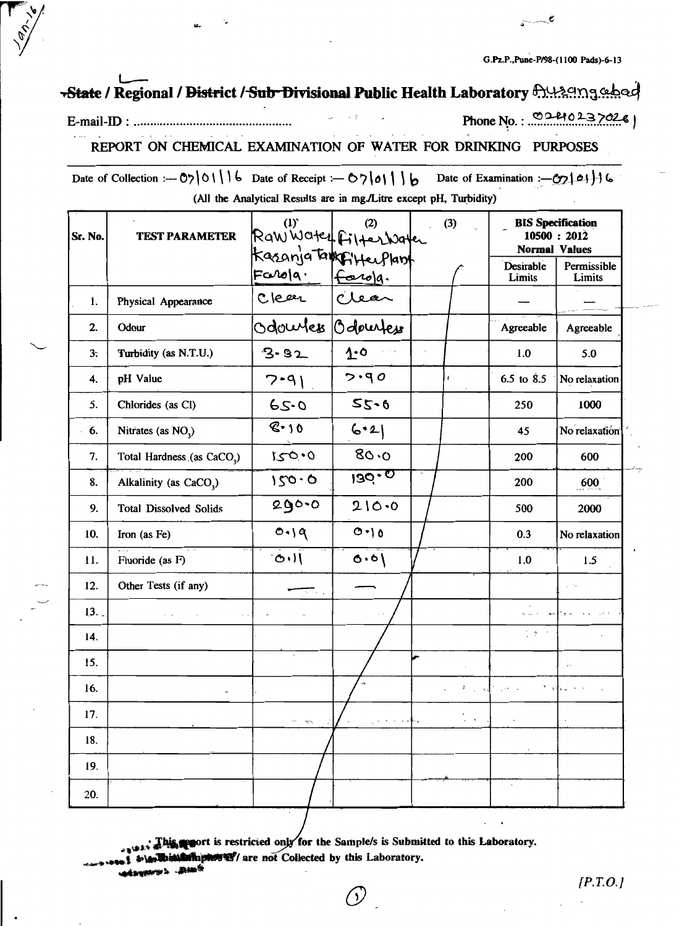ື້

# State / Regional / District / Sub-Divisional Public Health Laboratory hypengebed

#### E-mail-ID : ..........................

Phone No.: 0240237026

REPORT ON CHEMICAL EXAMINATION OF WATER FOR DRINKING PURPOSES

Date of Collection :- 07|01| 6 Date of Receipt :- 07|01| 6 Date of Examination :-  $\mathcal{C}$ 24 | | 6 (All the Analytical Results are in mg./Litre except pH, Turbidity)

| Sr. No. | <b>TEST PARAMETER</b>                  | (1) (2) (2)<br>Raw Water Filter Water |          | (3)                       | <b>Normal Values</b>          | <b>BIS</b> Specification<br>10500 : 2012 |
|---------|----------------------------------------|---------------------------------------|----------|---------------------------|-------------------------------|------------------------------------------|
|         |                                        | Kasanja tampikkeeplant                |          |                           | Desirable<br>Limits           | Permissible<br>Limits                    |
| 1.      | Physical Appearance                    | Farola Farola.<br>Clear Clear         |          |                           |                               |                                          |
| 2.      | Odour                                  |                                       |          |                           | Agreeable                     | Agreeable                                |
| $3$ .   | Turbidity (as N.T.U.)                  | $3 - 32$                              | 1.0      |                           | 1.0                           | 5.0                                      |
| 4.      | pH Value                               | $7 - 91$                              | 5.90     | $\pmb{\epsilon}$          | 6.5 to $8.5$                  | No relaxation                            |
| 5.      | Chlorides (as Cl)                      | 65.0                                  | $55 - 6$ |                           | 250                           | 1000                                     |
| $-6.$   | Nitrates (as $NO3$ )                   | 8.10                                  | 6.2      |                           | 45                            | No relaxatión                            |
| 7.      | Total Hardness (as CaCO <sub>3</sub> ) | 0.021                                 | 80.0     |                           | 200                           | 600                                      |
| 8.      | Alkalinity (as CaCO <sub>3</sub> )     | 150.0                                 | 130.0    |                           | 200                           | 600                                      |
| 9.      | <b>Total Dissolved Solids</b>          | 290.0                                 | 210.0    |                           | 500                           | 2000                                     |
| 10.     | Iron (as Fe)                           | 0.19                                  | 0.10     |                           | 0.3                           | No relaxation                            |
| 11.     | Fluoride (as F)                        | 11.0                                  | 0.0(     |                           | 1.0                           | 1.5                                      |
| 12.     | Other Tests (if any)                   |                                       |          |                           |                               |                                          |
| 13.     |                                        |                                       |          |                           |                               |                                          |
| 14.     |                                        |                                       |          |                           | $\frac{1}{2}$ , $\frac{1}{2}$ |                                          |
| 15.     |                                        | $\cdot$                               |          |                           |                               | $\mathcal{L}_{\rm{max}}$                 |
| 16.     |                                        |                                       |          |                           | 天空 経ている                       | $\mathbf{v} = \mathbf{v} + \mathbf{v}$   |
| 17.     |                                        |                                       |          | $\mathcal{L}=\mathcal{R}$ |                               |                                          |
| 18.     |                                        |                                       |          |                           |                               |                                          |
| 19.     |                                        |                                       |          |                           |                               |                                          |
| 20.     |                                        |                                       |          |                           | $\hat{\phantom{a}}$           |                                          |

This serior is restricted only for the Sample/s is Submitted to this Laboratory.

**Manhiptowns**/are not Collected by this Laboratory.

 $\mathfrak{h}$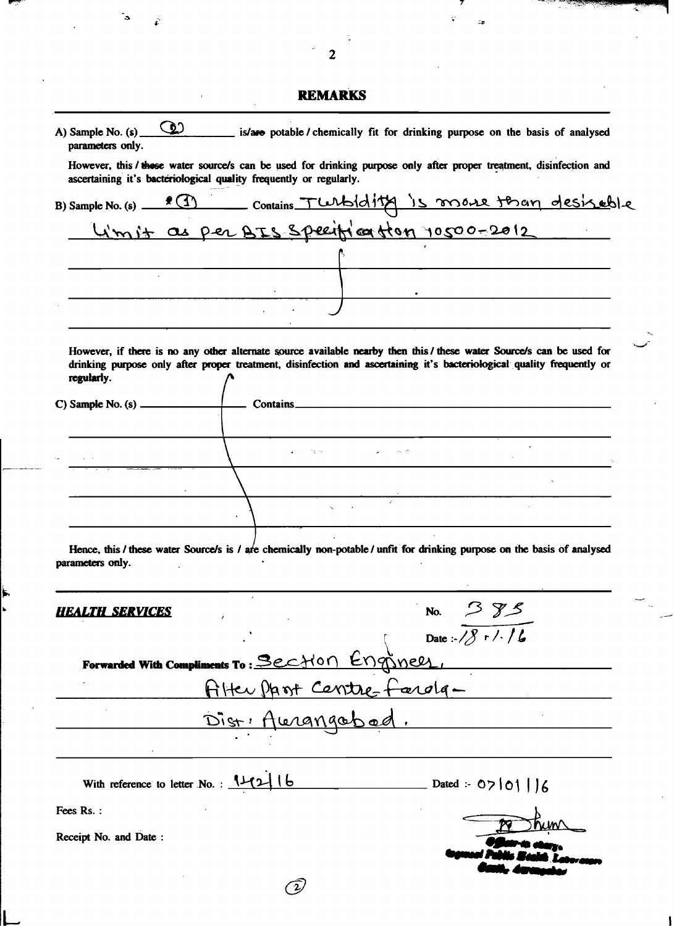|                                      | <b>REMARKS</b>                                                                                                                                                                                              |
|--------------------------------------|-------------------------------------------------------------------------------------------------------------------------------------------------------------------------------------------------------------|
| parameters only.                     | A) Sample No. (s) $\circled{2}$ is/are potable / chemically fit for drinking purpose on the basis of analysed                                                                                               |
|                                      | However, this / these water source/s can be used for drinking purpose only after proper treatment, disinfection and                                                                                         |
|                                      | ascertaining it's bacteriological quality frequently or regularly.                                                                                                                                          |
|                                      | B) Sample No. (s) <u>2 (1)</u> Contains TWbidity is more than desired le<br>Limit as per BIS Speeiff of the 10500-2012                                                                                      |
|                                      |                                                                                                                                                                                                             |
|                                      |                                                                                                                                                                                                             |
|                                      |                                                                                                                                                                                                             |
|                                      |                                                                                                                                                                                                             |
|                                      | the control of the control of the control of the control of the control of the control of                                                                                                                   |
|                                      | However, if there is no any other alternate source available nearby then this / these water Source/s can be used for                                                                                        |
| regularly.                           | drinking purpose only after proper treatment, disinfection and ascertaining it's bacteriological quality frequently or                                                                                      |
|                                      |                                                                                                                                                                                                             |
|                                      |                                                                                                                                                                                                             |
|                                      | えいこうきょう アール・ファイル                                                                                                                                                                                            |
|                                      |                                                                                                                                                                                                             |
|                                      |                                                                                                                                                                                                             |
|                                      |                                                                                                                                                                                                             |
| parameters only.                     | Hence, this / these water Source/s is / are chemically non-potable / unfit for drinking purpose on the basis of analysed<br>the contract of the contract of the contract of the contract of the contract of |
| <b>EALTH SERVICES</b>                | No. $385$                                                                                                                                                                                                   |
|                                      | Date: $\sqrt{8 r / 16}$                                                                                                                                                                                     |
|                                      | Forwarded With Compliments To: Section Engineer                                                                                                                                                             |
|                                      | Alter Parit Contre-Fordg-                                                                                                                                                                                   |
|                                      |                                                                                                                                                                                                             |
|                                      |                                                                                                                                                                                                             |
|                                      |                                                                                                                                                                                                             |
|                                      |                                                                                                                                                                                                             |
| With reference to letter No. : 11216 | $\sim$ Dated :- 07   01     6                                                                                                                                                                               |
|                                      |                                                                                                                                                                                                             |
|                                      |                                                                                                                                                                                                             |
| Fees Rs.:<br>Receipt No. and Date:   |                                                                                                                                                                                                             |

 $\frac{1}{2}$ 

 $\frac{1}{\sqrt{2}}$ 

 $\ddot{\cdot}$ 

i<br>L

 $\hat{\epsilon}$ 

an personal participate

ç.

 $\epsilon$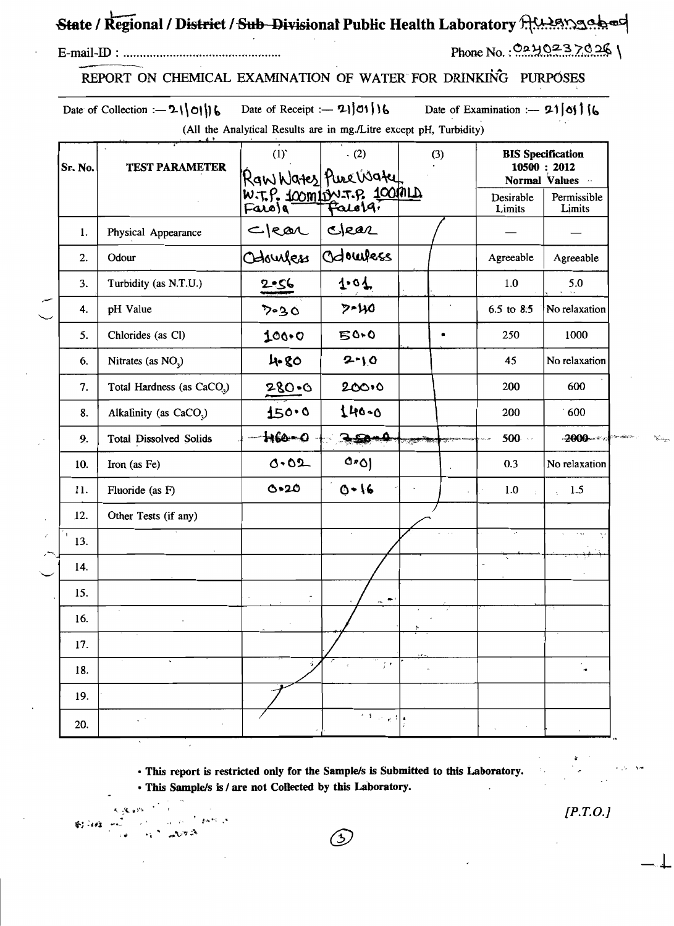# State / Regional / District / Sub Divisional Public Health Laboratory AMASMades

#### 

## Phone No.:  $0.240237026$

### REPORT ON CHEMICAL EXAMINATION OF WATER FOR DRINKING PURPOSES

Date of Collection :-  $21|01|16$  Date of Receipt :-  $21|01|16$ Date of Examination :-  $21|0|$  |  $6$ (All the Analytical Results are in mg./Litre except pH, Turbidity)

| Sr. No. | <b>TEST PARAMETER</b>                  | (1)<br>(2)<br>(3)<br>Ran Wates Pure Water<br>W.T.P. 100m/w.T.P. 100ml |                           | <b>BIS</b> Specification<br>10500 : 2012<br>Normal Values |                       |  |
|---------|----------------------------------------|-----------------------------------------------------------------------|---------------------------|-----------------------------------------------------------|-----------------------|--|
|         |                                        |                                                                       |                           | Desirable<br>Limits                                       | Permissible<br>Limits |  |
| 1.      | Physical Appearance                    | cker                                                                  | Clear                     |                                                           |                       |  |
| 2.      | Odour                                  | Odourless                                                             | Odowless                  | Agreeable                                                 | Agreeable             |  |
| 3.      | Turbidity (as N.T.U.)                  | 2.56                                                                  | 1.01                      | 1.0                                                       | 5.0                   |  |
| 4.      | pH Value                               | 7-30                                                                  | $7 - 110$                 | 6.5 to 8.5                                                | No relaxation         |  |
| 5.      | Chlorides (as Cl)                      | 100.0                                                                 | 50.0                      | 250                                                       | 1000                  |  |
| 6.      | Nitrates (as NO <sub>2</sub> )         | 4.80                                                                  | $2 - 10$                  | 45                                                        | No relaxation         |  |
| 7.      | Total Hardness (as CaCO <sub>3</sub> ) | $280 - 6$                                                             | 200.0                     | 200                                                       | 600                   |  |
| 8.      | Alkalinity (as CaCO <sub>2</sub> )     | 150.0                                                                 | 140-0                     | 200                                                       | 600                   |  |
| 9.      | <b>Total Dissolved Solids</b>          | h60-0                                                                 | $-50.$                    | $500 -$                                                   | $-2000 - 40$          |  |
| 10.     | Iron (as Fe)                           | 0.02                                                                  | $0*0$                     | 0.3                                                       | No relaxation         |  |
| 11.     | Fluoride (as F)                        | O.20                                                                  | $0 - 16$                  | 1.0                                                       | 1.5                   |  |
| 12.     | Other Tests (if any)                   |                                                                       |                           |                                                           |                       |  |
| 13.     |                                        |                                                                       |                           | $\mathcal{L}^{\bullet}$                                   |                       |  |
| 14.     |                                        |                                                                       |                           |                                                           |                       |  |
| 15.     |                                        |                                                                       | $\bullet$                 |                                                           |                       |  |
| 16.     |                                        |                                                                       |                           |                                                           |                       |  |
| 17.     |                                        |                                                                       |                           |                                                           |                       |  |
| 18.     |                                        |                                                                       | $\frac{1}{2}$             |                                                           |                       |  |
| 19.     |                                        |                                                                       |                           |                                                           |                       |  |
| 20.     | $\cdot$ .                              |                                                                       | $\sim 3$ , $\sim 10^{-4}$ |                                                           |                       |  |

· This report is restricted only for the Sample/s is Submitted to this Laboratory.

(5)

· This Sample/s is / are not Collected by this Laboratory.

對印度  $\mathcal{L} \cap \mathcal{L}$ 

 $[P.T.O.]$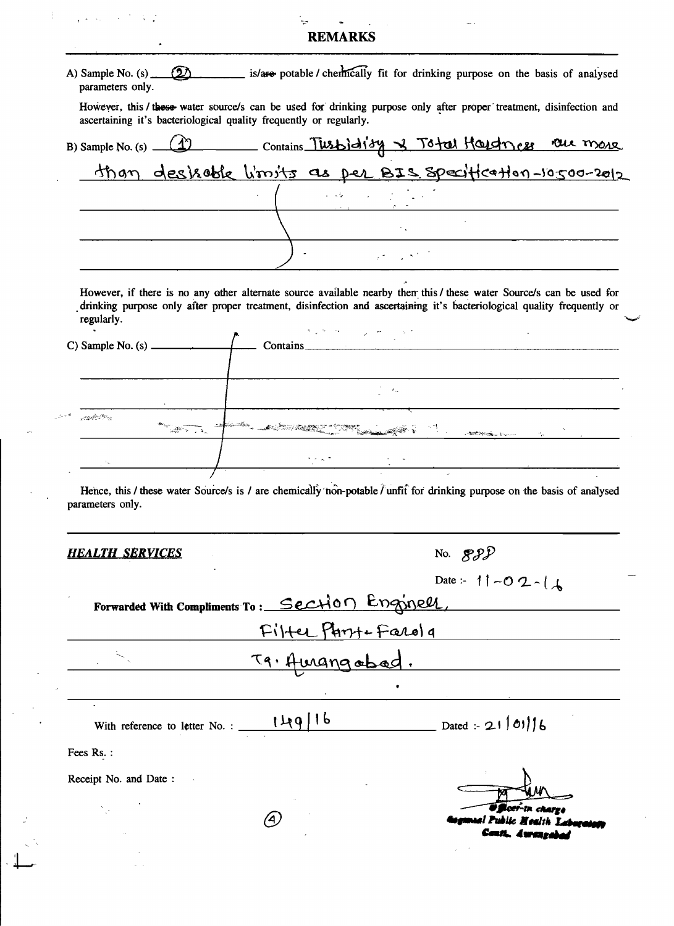# REMARKS

 $\frac{1}{4}$  .

 $\chi$  is a probability of  $\chi$ 

| parameters only.                           | A) Sample No. (s) (2) is/are potable / chemically fit for drinking purpose on the basis of analysed                                                                                                                                                                                                                                   |
|--------------------------------------------|---------------------------------------------------------------------------------------------------------------------------------------------------------------------------------------------------------------------------------------------------------------------------------------------------------------------------------------|
|                                            | However, this / these water source/s can be used for drinking purpose only after proper treatment, disinfection and<br>ascertaining it's bacteriological quality frequently or regularly.                                                                                                                                             |
|                                            | B) Sample No. (s) (1) Contains Tusbidity & Total Houstness row more                                                                                                                                                                                                                                                                   |
|                                            |                                                                                                                                                                                                                                                                                                                                       |
|                                            |                                                                                                                                                                                                                                                                                                                                       |
|                                            |                                                                                                                                                                                                                                                                                                                                       |
|                                            |                                                                                                                                                                                                                                                                                                                                       |
| regularly.                                 | However, if there is no any other alternate source available nearby then this / these water Source/s can be used for<br>drinking purpose only after proper treatment, disinfection and ascertaining it's bacteriological quality frequently or<br>$\mathcal{C}(\mathcal{D}) = \mathcal{D}(\mathcal{D}) \cap \mathcal{D}(\mathcal{D})$ |
|                                            | Contains Contains                                                                                                                                                                                                                                                                                                                     |
|                                            | $\mathcal{F}=\mathcal{F}_{\mathbf{q}_{2}}$                                                                                                                                                                                                                                                                                            |
| وبالتبلك فأجيبيون                          |                                                                                                                                                                                                                                                                                                                                       |
|                                            | kansker <sub>er med</sub> til 2005 til 2007 i 2008 til 1908 var stor i 2008 til 2008 til 2008 til 2008 til 2008 til 2008                                                                                                                                                                                                              |
|                                            | $\mathcal{A}^{\mathcal{A}}$ , and the set of the set of the set of the set of the set of the set of the set of the set of the set of the set of the set of the set of the set of the set of the set of the set of the set of the set of t                                                                                             |
| parameters only.<br><b>HEALTH SERVICES</b> | Hence, this / these water Source/s is / are chemically non-potable / unfit for drinking purpose on the basis of analysed<br>No. $\mathcal{SPD}$                                                                                                                                                                                       |
|                                            |                                                                                                                                                                                                                                                                                                                                       |
|                                            | Date :- 11 - 0 2 - 1<br>Forwarded With Compliments To: Section Enginell,                                                                                                                                                                                                                                                              |
|                                            | Filter Part-Farola                                                                                                                                                                                                                                                                                                                    |
|                                            | T9. Amangabad.                                                                                                                                                                                                                                                                                                                        |
|                                            |                                                                                                                                                                                                                                                                                                                                       |
|                                            | With reference to letter No.: $149/16$ Dated: 21/01/6                                                                                                                                                                                                                                                                                 |
| Fees Rs.:                                  |                                                                                                                                                                                                                                                                                                                                       |
| Receipt No. and Date:                      |                                                                                                                                                                                                                                                                                                                                       |
|                                            | <b>FR</b> œr∙in charra<br>4)<br>ual Public Mealth Laborat                                                                                                                                                                                                                                                                             |
|                                            | Cant. Awaren                                                                                                                                                                                                                                                                                                                          |
|                                            |                                                                                                                                                                                                                                                                                                                                       |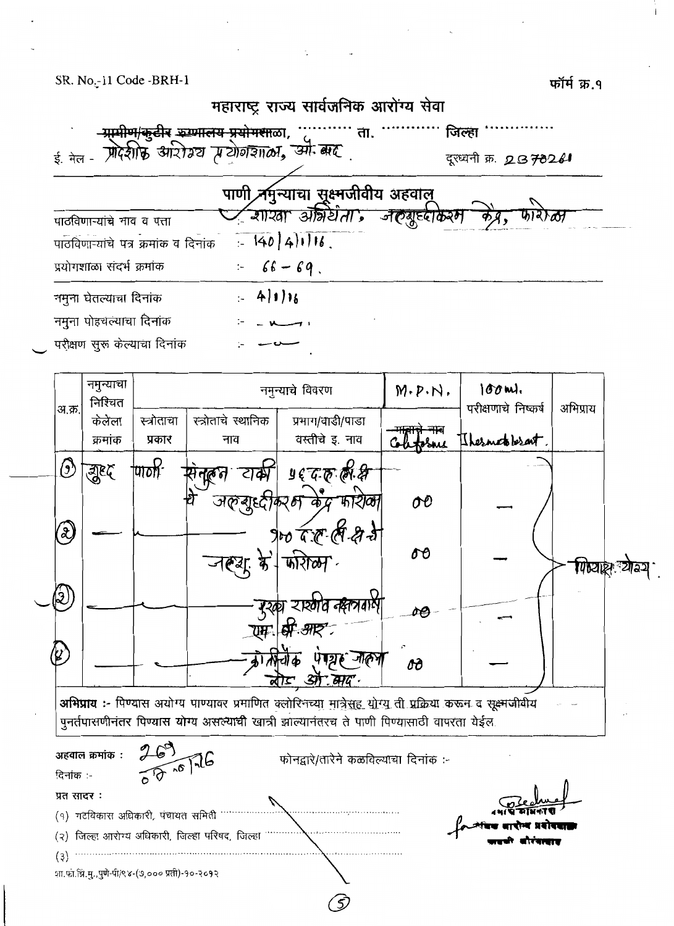फॉर्म क्र.१



|                            | क्रमांक | प्रकार | नाव         | वस्तीचे इ. नाव                                                                                                                                                                                                | etosne | Thernetoberant. |                                    |
|----------------------------|---------|--------|-------------|---------------------------------------------------------------------------------------------------------------------------------------------------------------------------------------------------------------|--------|-----------------|------------------------------------|
| ᢙ                          | सुष्ट   | UTON-  |             | ष्ठे के ऊऊरे                                                                                                                                                                                                  |        |                 |                                    |
|                            |         |        | जलबुद्धीकरम | फारोळी                                                                                                                                                                                                        | oo     |                 |                                    |
| $\boldsymbol{\mathcal{X}}$ |         |        |             | po F. C. (8-27-37                                                                                                                                                                                             | oθ     |                 |                                    |
|                            |         |        | जरूआ        | জয়িচ্চা                                                                                                                                                                                                      |        |                 | <b>गिध्या</b> क्ष <i>्</i> योज्ञ्य |
| ಳಿ                         |         |        |             | ্যহলার নব্বসবাস্<br>यम: अम्रि- अस्                                                                                                                                                                            |        |                 |                                    |
| $\boldsymbol{\mathcal{C}}$ |         |        |             | ि जाह्या                                                                                                                                                                                                      |        |                 |                                    |
|                            |         |        |             | $-3\pi$ and                                                                                                                                                                                                   | oð     |                 |                                    |
|                            |         |        |             | अभिप्राय :- पिण्यास अयोग्य पाण्यावर प्रमाणित क्लोरिनच् <u>या मात्रेसह योग्य</u> ती प्रक्रिया करून व सूक्ष्मजीवीय<br>पुनर्तपासणीनंतर पिण्यास योग्य असल्याची खात्री झाल्यानंतरच ते पाणी पिण्यासाठी वापरता येईल. |        |                 |                                    |
|                            |         |        |             |                                                                                                                                                                                                               |        |                 |                                    |

| $\mathfrak{s}$<br>अहवाल क्रमांक :               | फोनद्वारे/तारेने कळविल्याचा दिनांक :- |                                                    |
|-------------------------------------------------|---------------------------------------|----------------------------------------------------|
| $8 - 6$<br>दिनांक :-                            |                                       |                                                    |
| प्रत सादर :                                     |                                       | The dive                                           |
| गटविकास अधिकारी, पंचायत समिती<br>( 9 )          |                                       |                                                    |
| (२) जिल्हा आरोग्य अधिकारी, जिल्हा परिषद, जिल्हा |                                       | .<br>- आंदव वादोन्द प्रयोगदाव<br>- अपची वीरंगत्वाद |
| (3)                                             |                                       |                                                    |
| शा.फा.झि.मु.,पुणे-पी/९४-(७,००० प्रती)-१०-२०१२   |                                       |                                                    |

5)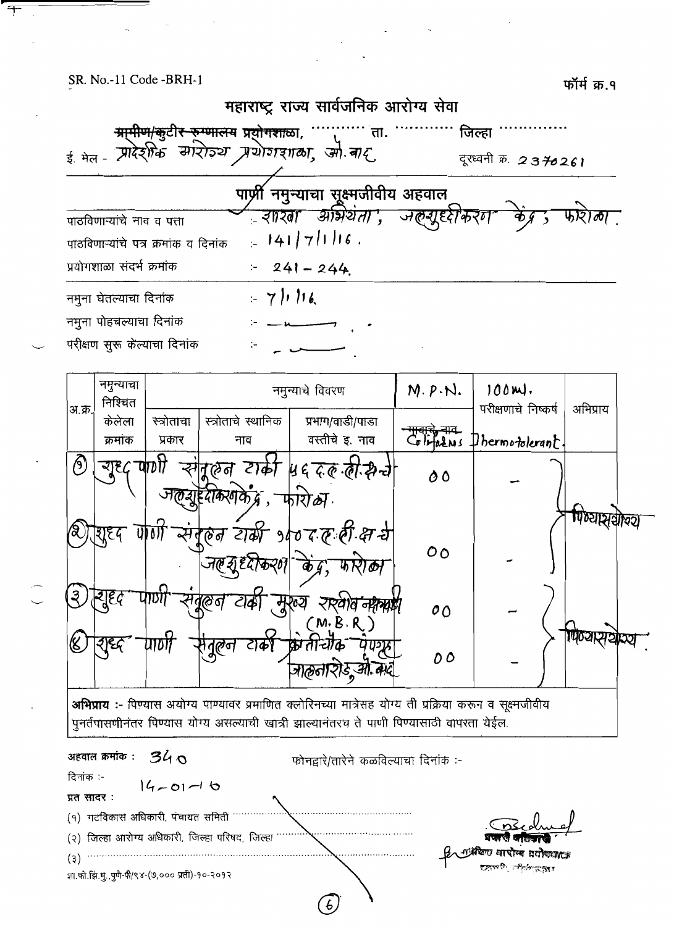$\overline{+}$ ÷

फॉर्म क्र.१

|                                                                                                                                                                                                              | महाराष्ट्र राज्य सार्वजनिक आरोग्य सेवा                                                     |                    |                                 |                  |
|--------------------------------------------------------------------------------------------------------------------------------------------------------------------------------------------------------------|--------------------------------------------------------------------------------------------|--------------------|---------------------------------|------------------|
| ई मेल - प्रारेशीक सारोज्य प्रयोगशाला, ओ.बाद                                                                                                                                                                  | <del>ग्रापीण/कु</del> टी <del>र रुग्णालय</del> प्र <del>योगशा</del> ळा, <sup></sup><br>ता. |                    | जिल्हा<br>दूरध्वनी क्र. 2370261 |                  |
|                                                                                                                                                                                                              | पार्ण्री नमुन्याचा सूक्ष्मजीवीय अहवाल                                                      |                    |                                 |                  |
| पाठविणाऱ्यांचे नाव व पत्ता                                                                                                                                                                                   | ्रशश्ला आर्भ्रथता', जल्ग्यूर्ध्दोकरग                                                       |                    |                                 |                  |
| पाठविणाऱ्यांचे पत्र क्रमांक व दिनांक                                                                                                                                                                         | $= 141/71116$ .                                                                            |                    |                                 |                  |
| प्रयोगशाळा संदर्भ क्रमांक                                                                                                                                                                                    | $241 - 244$<br>$\ddot{\phantom{1}}$                                                        |                    |                                 |                  |
| नमुना घेतल्याचा दिनांक                                                                                                                                                                                       | $-7116$                                                                                    |                    |                                 |                  |
| नमुना पोहचल्याचा दिनांक                                                                                                                                                                                      |                                                                                            |                    |                                 |                  |
| परीक्षण सुरू केल्याचा दिनांक                                                                                                                                                                                 |                                                                                            |                    |                                 |                  |
| नमुन्याचा<br>निश्चित<br>अ.क्र.                                                                                                                                                                               | नमुन्याचे विवरण                                                                            | $M.P.\mathcal{N}.$ | $100m$ .<br>परीक्षणाचे निष्कर्ष | अभिप्राय         |
| केलेला<br>स्त्रोताचा<br>क्रमांक<br>प्रकार                                                                                                                                                                    | स्त्रोताचे स्थानिक<br>प्रभाग/वाडी/पाडा<br>वस्तीचे इ. नाव<br>नाव                            |                    | Glippens Dhermotolerant.        |                  |
| ऱ्यूष्ट्द पाणी<br>$\bigcirc$                                                                                                                                                                                 | स्गैतूलन टार्का ॥६ द.ह.लं.क्नेन्चे<br>फोरोळा.<br>त्रगके द्र,                               | 00                 |                                 |                  |
|                                                                                                                                                                                                              | संमूलन टार्की १५० द ल ली क्ष ये                                                            | 0 <sub>O</sub>     |                                 | णिष्यास्त्रकाव्य |
| ૱<br>(ଡ ଗ                                                                                                                                                                                                    | (M.B.R)                                                                                    | 00                 |                                 |                  |
| 'ণুষ্টেল                                                                                                                                                                                                     | <b>리수)</b><br>जाकुतारोड, ओ. बाद्                                                           | 00                 |                                 | 1140 या स्थ      |
| <b>अभिप्राय :-</b> पिण्यास अयोग्य पाण्यावर प्रमाणित क्लोरिनच्या मात्रेसह योग्य ती प्रक्रिया करून व सूक्ष्मजीवीय<br>पुनर्तपासणीनंतर पिण्यास योग्य असल्याची खात्री झाल्यानंतरच ते पाणी पिण्यासाठी वापरता येईल. |                                                                                            |                    |                                 |                  |
| अहवाल क्रमांक :<br>340                                                                                                                                                                                       | फोनद्वारे/तारेने कळविल्याचा दिनांक :-                                                      |                    |                                 |                  |
| दिनांक :-<br>$4 - 01 - 16$<br>प्रत सादर :                                                                                                                                                                    |                                                                                            |                    |                                 |                  |
| (१) गटविकास अधिकारी, पंचायत समिती<br>(२) जिल्हा आरोग्य अधिकारी, जिल्हा परिषद, जिल्हा                                                                                                                         |                                                                                            |                    |                                 |                  |
| (3)<br>शा.फो.झि.मु.,पुणे-पी/९४-(७,००० प्रती)-१०-२०१२                                                                                                                                                         |                                                                                            |                    | গীক্ষাসেক্টে                    |                  |

 $\bigcirc$ 

 $\sim$ 

 $\ddot{\phantom{a}}$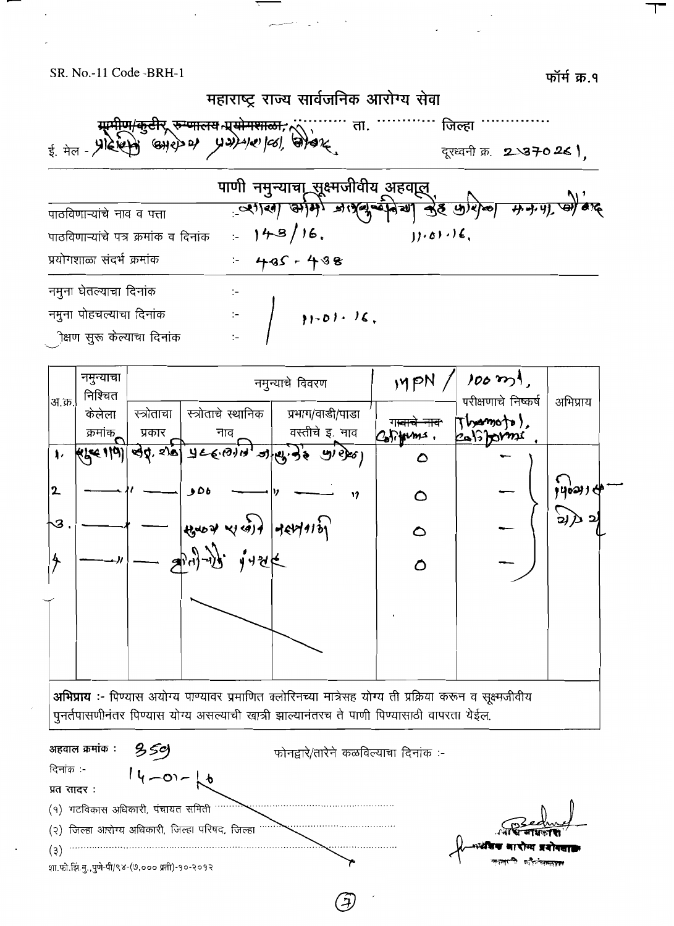फॉर्म क्र.१



|                      | नमुन्याचा<br>निश्चित |            |                                                                                                                                                                                                                                                                                                                                                                          | नमुन्याचे विवरण                             | MPM                    | $100 \, \mathrm{m}$<br>परीक्षणाचे निष्कर्ष | अभिप्राय |
|----------------------|----------------------|------------|--------------------------------------------------------------------------------------------------------------------------------------------------------------------------------------------------------------------------------------------------------------------------------------------------------------------------------------------------------------------------|---------------------------------------------|------------------------|--------------------------------------------|----------|
| अ.क्र.               | केलेला               | स्त्रोताचा | स्त्रोताचे स्थानिक                                                                                                                                                                                                                                                                                                                                                       | प्रभाग/वाडी/पाडा                            | ग <del>ावाचे नाव</del> | $\tau$ <i>becomo to</i> ),                 |          |
|                      | क्रमांक <sub>ा</sub> | प्रकार     | नाव                                                                                                                                                                                                                                                                                                                                                                      | वस्तीचे इ. नाव                              | Coliforms.             | califorme                                  |          |
| $\pmb{\downarrow}$ . |                      |            |                                                                                                                                                                                                                                                                                                                                                                          | kike 110) ad's pl 7156.010, 2169.94 21.950) | $\mathbf D$            |                                            |          |
| 2                    |                      |            | 506                                                                                                                                                                                                                                                                                                                                                                      | 17                                          | ◔                      |                                            | y        |
| ∖ॐ                   |                      |            | $\left $ tzuoz zu cont despartas                                                                                                                                                                                                                                                                                                                                         |                                             | ٥                      |                                            | रे)      |
|                      |                      |            | $\frac{1}{2} \int_{0}^{1} \int_{0}^{1} \int_{0}^{1} \int_{0}^{1} \int_{0}^{1} \int_{0}^{1} \int_{0}^{1} \int_{0}^{1} \int_{0}^{1} \int_{0}^{1} \int_{0}^{1} \int_{0}^{1} \int_{0}^{1} \int_{0}^{1} \int_{0}^{1} \int_{0}^{1} \int_{0}^{1} \int_{0}^{1} \int_{0}^{1} \int_{0}^{1} \int_{0}^{1} \int_{0}^{1} \int_{0}^{1} \int_{0}^{1} \int_{0}^{1} \int_{0}^{1} \int_{0}$ |                                             | $\circ$                |                                            |          |
|                      |                      |            |                                                                                                                                                                                                                                                                                                                                                                          |                                             |                        |                                            |          |
|                      |                      |            |                                                                                                                                                                                                                                                                                                                                                                          |                                             |                        |                                            |          |
|                      |                      |            |                                                                                                                                                                                                                                                                                                                                                                          |                                             |                        |                                            |          |

अभिप्राय :- पिण्यास अयोग्य पाण्यावर प्रमाणित क्लोरिनच्या मात्रेसह योग्य ती प्रक्रिया करून व सूक्ष्मजीवीय पुनर्तपासणीनंतर पिण्यास योग्य असल्याची खात्री झाल्यानंतरच ते पाणी पिण्यासाठी वापरता येईल.

अहवाल क्रमांक :  $359$ फोनद्वारे/तारेने कळविल्याचा दिनांक :-दिनांक :- $14 - 01 - 16$ प्रत सादर: (१) गटविकास अधिकारी, पंचायत समिती (२) जिल्हा आरोग्य अधिकारी, जिल्हा परिषद, जिल्हा  $(3)$ शा.फो.झि.मु.,पुणे-पी/९४-(७,००० प्रती)-१०-२०१२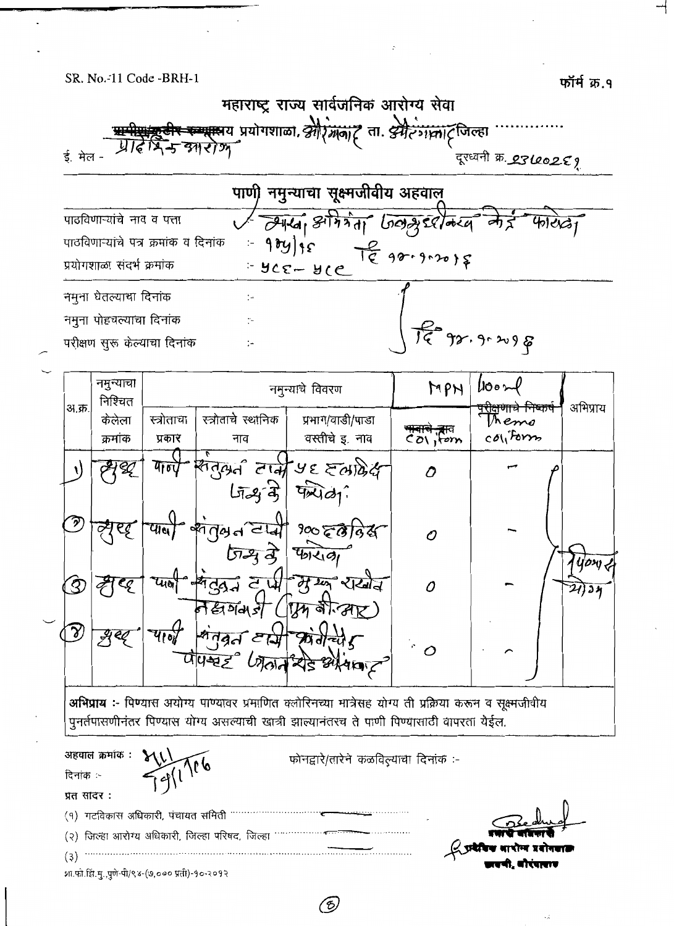

ි

शा.फो.झि.मु.,पुणे-पी/९४-(७,००० प्रती)-१०-२०१२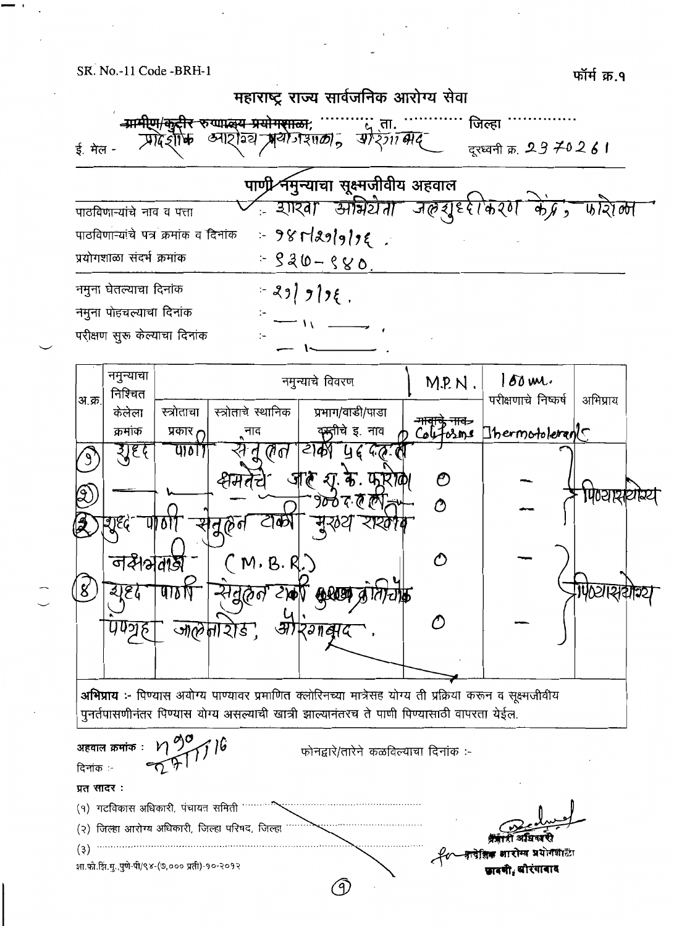

शा.फो.झि.मु.,पुणे-पी/९४-(७,००० प्रती)-१०-२०१२

(9)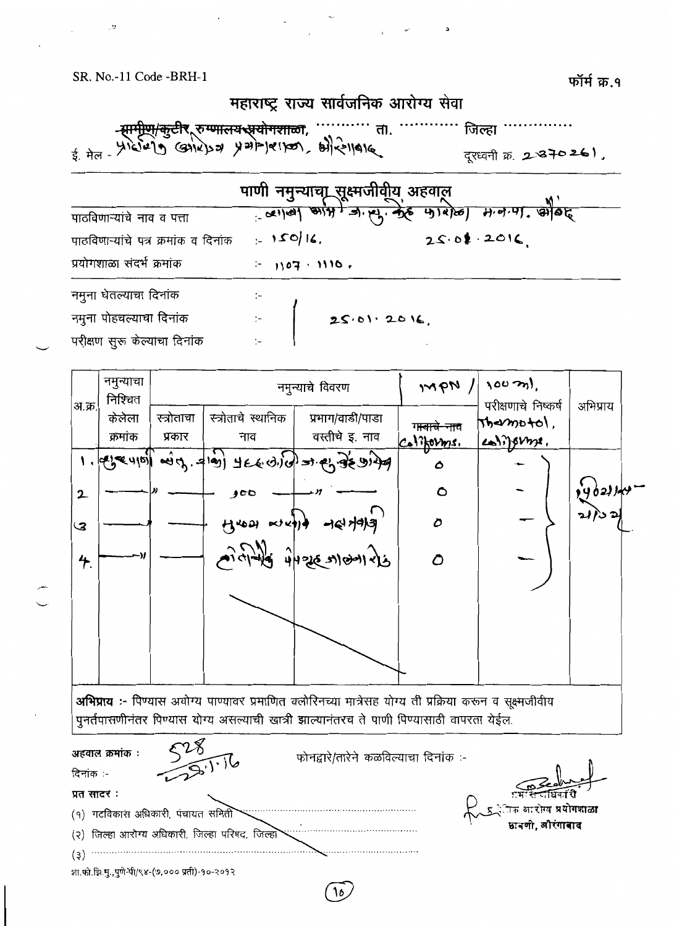ಿ

 $\overline{\phantom{a}}$ 

|                                      | महाराष्ट्र राज्य सावजानक आराग्य सवा |                                                                             |
|--------------------------------------|-------------------------------------|-----------------------------------------------------------------------------|
|                                      | ता.                                 | जिल्हा<br>दूरध्वनी क्र. 2-870261,                                           |
|                                      |                                     | पाणी नमुन्याचा सूक्ष्मजीवीय अहवाल<br>पालिका अपि जिल्फु के पालेखा मजन्म, औवह |
| पाठविणाऱ्यांचे नाव व पत्ता           |                                     |                                                                             |
| पाठविणाऱ्यांचे पत्र क्रमांक व दिनांक | $1 - 150/16$                        | 25.01.2016                                                                  |
| प्रयोगशाळा संदर्भ क्रमांक            | $-1107.1110.$                       |                                                                             |
| नमुना घेतल्याचा दिनांक               |                                     |                                                                             |

| $\mathcal{A}$ and a set of the set of the set of the set of the set of the set of the set of the set of the set of the set of the set of the set of the set of the set of the set of the set of the set of the set of the set of t |            |
|------------------------------------------------------------------------------------------------------------------------------------------------------------------------------------------------------------------------------------|------------|
| नमुना पोहचल्याचा दिनांक                                                                                                                                                                                                            | 25.01.2016 |
| परीक्षण सुरू केल्याचा दिनांक                                                                                                                                                                                                       |            |

नमुन्याचा  $100 \text{ m}$  $mpN/$ नमुन्याचे विवरण निश्चित परीक्षणाचे निष्कर्ष अभिप्राय अ.क्र. प्रभाग/वाडी/पाडा स्त्रोताचे स्थानिक केलेला स्त्रोताचा Themotol. ग<del>ावाचे नाव</del> वस्तीचे इ. नाव क्रमांक प्रकार नाव coliforme. Califorms. معرد والم من جر المن المحدد والمن المحدد المن المحدد والمن المحدد والمن المحدد والمن المحدد والمن ال  $\mathbf{L}$  $\mathbf{\hat{o}}$  $\circ$  $\mathbf{2}$  $100$  $H$ rest escala des data  $\mathcal{D}$ ও 4126 5100126  $4.$  $\mathcal{O}$ अभिप्राय :- पिण्यास अयोग्य पाण्यावर प्रमाणित क्लोरिनच्या मात्रेसह योग्य ती प्रक्रिया करून व सूक्ष्मजीवीय .<br>पुनर्तपासणीनंतर पिण्यास योग्य असल्याची खात्री झाल्यानंतरच ते पाणी पिण्यासाठी वापरता येईल.  $\overline{\phantom{0}}$ 

| अहवाल क्रमांक :                                 | फोनद्वारे/तारेने कळविल्याचा दिनांक :-                      |
|-------------------------------------------------|------------------------------------------------------------|
| $\sigma$ .<br>दिनांक :-                         |                                                            |
| प्रत सादर :                                     | R                                                          |
| गटविकास अधिकारी, पंचायत समिती<br>( የ )          | $\leftarrow$ प्रभागक आरोग्य प्रयोगशाळा<br>अन्वणी, औरंगाबाद |
| (२) जिल्हा आरोग्य अधिकारी, जिल्हा परिषद, जिल्हा |                                                            |
| (३.                                             |                                                            |
| शा.फो.झिं.मु.,पुणे-पी/९४-(७,००० प्रती)-१०-२०१२  |                                                            |

10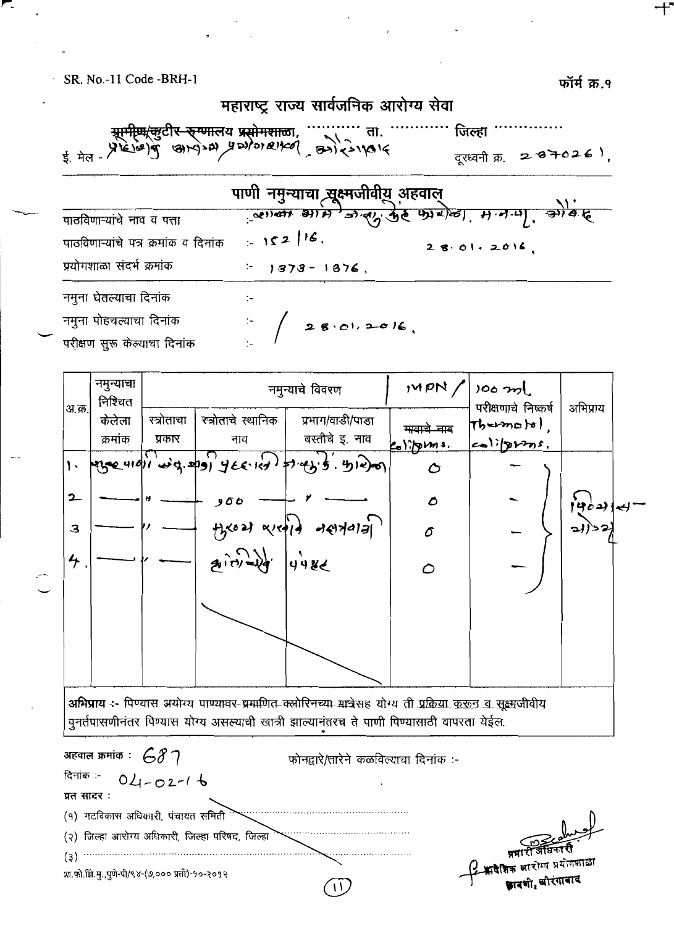$(3, 4)$ 

महाराष्ट्र राज्य सार्वजनिक आरोग्य सेवा र<del>ि रुग्णा</del>लय प्रसोगशाळा, ........... ता.<br>खाप्याच्ये प्रस्थोग ब्यांस्य कर्ना रुगालाद जिल्हा ' दूरध्वनी क्र. 287026). ਧਾਸੀ ਜਸਜ਼ਾਦਾ ਕੁਆਰੀਰੀਸ ਪਟਰਾਜ

|                                      | <u>มาเลย เนินที่ ที่ผมดูเทศ พัฒนา</u> |                                                      |
|--------------------------------------|---------------------------------------|------------------------------------------------------|
| पाठविणाऱ्यांचे नाव व पत्ता           |                                       | <u>्लास्का आम जिल्हा कुरु फारोल्डा, मजन्म, सोवाह</u> |
| पाठविणाऱ्यांचे पत्र क्रमांक व दिनांक | 152/16                                | 28.01.2016                                           |
| प्रयोगशाळा संदर्भ क्रमांक            | $-1373 - 1876$ ,                      |                                                      |
| नमुना घेतल्याचा दिनांक               | $\mathcal{L}$                         |                                                      |
| नमुना पोहचल्याचा दिनांक              | 28.01, 2016                           |                                                      |
| परीक्षण सुरू केल्याचा दिनांक         |                                       |                                                      |
|                                      |                                       |                                                      |

नमुन्याचा  $MPN$  $100 \text{ m}$ नमुन्याचे विवरण निश्चित परीक्षणाचे निष्कर्ष अभिप्राय <u>अ.क्र.</u> स्त्रोताचे स्थानिक केलेला प्रभाग/वाडी/पाड़ा स्त्रोताचा  $\tau$ bermoto). मावाचे नाव वस्तीचे इ. नाव क्रमांक प्रकार नाव olipins.  $201$ والحر والماد المحافظ المعادية المعادية  $(4, 4)$  $\mathbf{L}$  $\sigma$  $2 -$ 00 و Δ मुख्य व्यक्षी नसमनार्ग  $\mathbf{3}$ δ प्रेम्रहर  $4\overline{)}$  $\mathcal{O}$ अभिप्राय :- पिण्यास अयोग्य पाण्यावर-प्रमाणित क्लोरिनच्या मात्रेसह योग्य ती प्रक्रिया कुरून व सूक्ष्मजीवीय पुनर्तपासणीनंतर पिण्यास योग्य असल्याची खात्री झाल्यानंतरच ते पाणी पिण्यासाठी वापरता येईल.

अहवाल क्रमांक  $\colon$  68 7 फोनद्वारे/तारेने कळविल्याचा दिनांक :-दिनांक :- $04 - 02 - 16$ प्रत सादर: (१) गटविकास अधिकारी, पंचायत समिती (२) जिल्हा आरोग्य अधिकारी, जिल्हा परिषद, जिल्हा  $(3)$ शा.फो.झि.मु.,पुणे-पी/९४-(७,००० प्रती)-१०-२०१२

#### फॉर्म क्र. १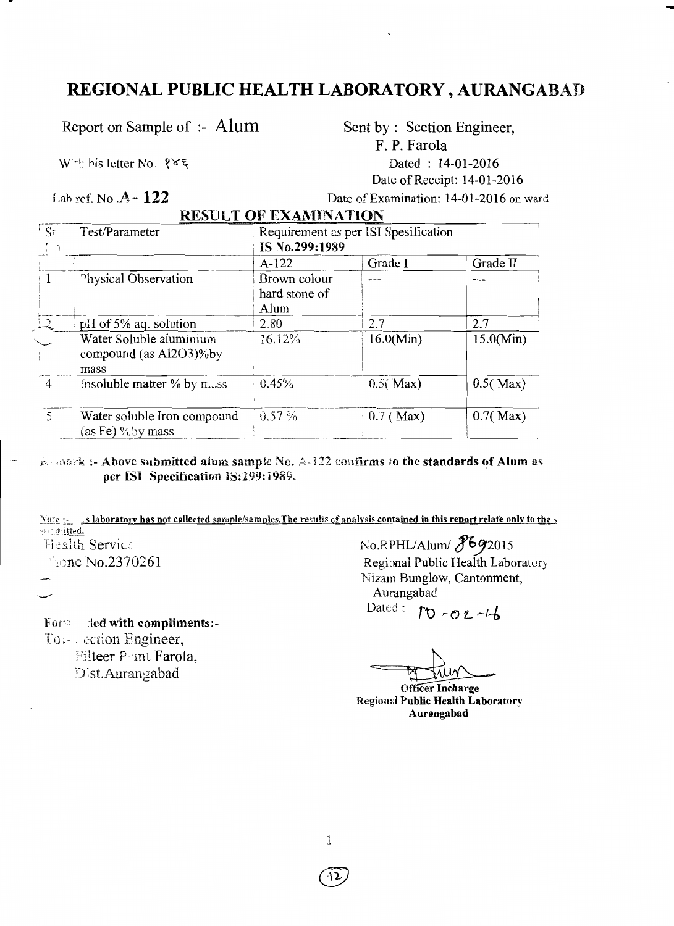## REGIONAL PUBLIC HEALTH LABORATORY, AURANGABAD

Report on Sample of :- Alum

W bis letter No. १४६

Lab ref. No.  $A - 122$ 

Sent by : Section Engineer, F. P. Farola Dated: 14-01-2016 Date of Receipt: 14-01-2016

 $\pm$ 

Date of Examination: 14-01-2016 on ward

|  | <b>RESULT OF EXAMINATION</b><br><u>pagal sebagai sebagai sebagai sebagai sebagai sebagai pelakut yang dengan pada berjadi sebagai sebagai sebagai</u> |
|--|-------------------------------------------------------------------------------------------------------------------------------------------------------|
|  |                                                                                                                                                       |

| ' Sr          | Test/Parameter                                             | Requirement as per ISI Spesification<br>IS No.299:1989 |             |           |  |  |
|---------------|------------------------------------------------------------|--------------------------------------------------------|-------------|-----------|--|--|
|               |                                                            | $A-122$                                                | Grade I     | Grade II  |  |  |
|               | Physical Observation                                       | Brown colour<br>hard stone of<br>Alum                  |             |           |  |  |
| $\mathcal{Q}$ | pH of 5% aq. solution                                      | 2.80                                                   | 2.7         | 2.7       |  |  |
|               | Water Soluble aluminium<br>compound (as Al2O3)% by<br>mass | 16.12%                                                 | 16.0(Min)   | 15.0(Min) |  |  |
| 4             | Insoluble matter % by n.ss                                 | 0.45%                                                  | 0.5(Max)    | 0.5(Max)  |  |  |
| 5             | Water soluble Iron compound<br>(as Fe) % by mass           | $0.57\%$                                               | $0.7$ (Max) | 0.7(Max)  |  |  |

Remark :- Above submitted alum sample No. A-122 confirms to the standards of Alum as per ISI Specification 1S:299:1989.

Note : s laboratory has not collected sample/samples. The results of analysis contained in this report relate only to the go initted. Health Service

Fache No.2370261

For a ded with compliments:-To:- cetion Engineer, Filteer Pant Farola. Dist.Aurangabad

No.RPHL/Alum/ 8692015 Regional Public Health Laboratory Nizam Bunglow, Cantonment, Aurangabad Dated :  $10 - 02 - 4$ 

**Officer Incharge Regional Public Health Laboratory** Aurangabad

 $\mathbf{1}$ 

12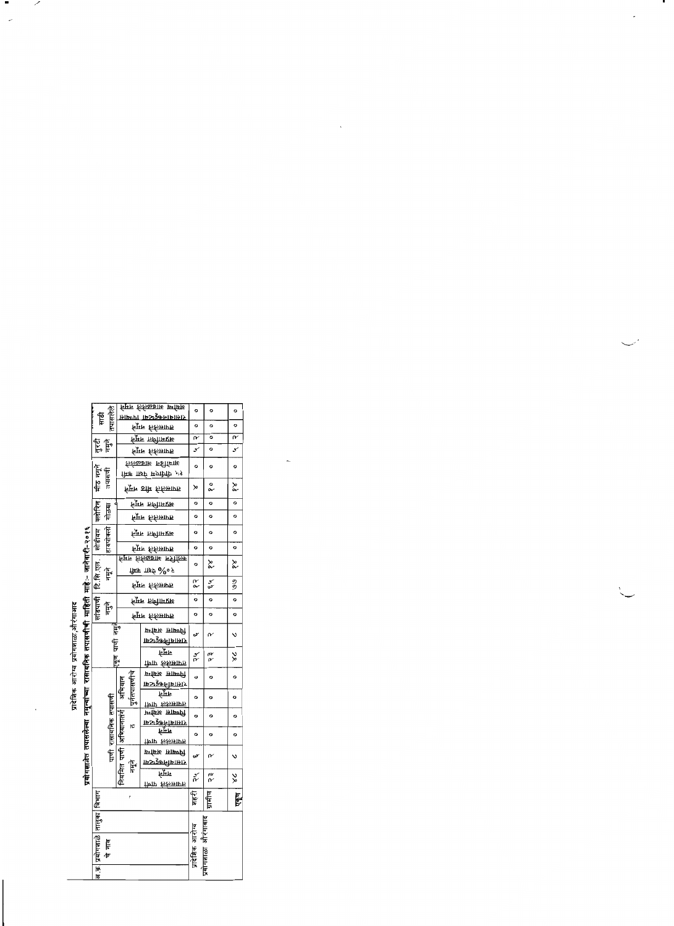|                                     |                                               |            |                      |               |             | <u>र्नमम संस्कृतका स्मिथि</u>    | o              | o          | o            |
|-------------------------------------|-----------------------------------------------|------------|----------------------|---------------|-------------|----------------------------------|----------------|------------|--------------|
|                                     |                                               | 乍          |                      |               |             | <u>दासानामकर्दल्ला ।तन्त्यास</u> |                |            |              |
|                                     |                                               |            | たでもデマ                |               |             | र्नप्राम किलागण                  | o              | o          | o            |
|                                     |                                               |            |                      |               |             | <u>निमान जलीकार</u> प्राप्त      | r              | o          | $\mathbf{r}$ |
|                                     |                                               | 影長         |                      |               |             | र्नूमन रुक्तिमार्गन              | Y              | $\circ$    | Y            |
|                                     |                                               |            |                      |               |             | रुलेकब्राष्ट न्हीमिक्ति          | $\circ$        | o          | o            |
|                                     |                                               | F          |                      |               |             | किक प्राप्नेष्ट मण्डली २१        |                |            |              |
|                                     |                                               | र्मेंट     | तपासणी               |               |             | मूम ठाीम <i>रुलि</i> मार्गम      | ≫              | o<br>o     | ≿            |
|                                     |                                               |            |                      |               |             | <u>नि</u> मन तालीगमप्रा          | o              | o          | $\circ$      |
|                                     |                                               |            | गोळया                |               |             | र्नप्राम रुकिमार्गम              | $\circ$        | $\circ$    | $\circ$      |
|                                     | रासायनिक तपासणीची माहिती माहे:⊢ जानेवारी-२०१६ | सोडीयम     | हायपोक्त्त्री        |               |             | <b>मिक तमीमरा</b> रु             | o              | $\circ$    | ۰            |
|                                     |                                               |            |                      |               |             | म् <del>ला</del> स्कार           | o              | o          | o            |
|                                     |                                               |            |                      |               |             |                                  |                |            |              |
|                                     |                                               | टि सि एल.  |                      |               |             | ग्रिक π≉र्⊽ २%० २                | o              | š          | ≿            |
|                                     |                                               |            | F                    |               |             |                                  | R<br>Q         | ž          | 20           |
|                                     |                                               |            |                      |               |             | र्द्रिफ रुकिप्राप्त              |                |            |              |
|                                     |                                               | सांडपाणी   | F                    |               |             | न्द्रि <b>म तथी।</b> मराध        | o              | o          | ۰            |
| प्रादेशिक आरोग्य प्रयोगशाळा,औरंगाआद |                                               |            |                      |               |             | र्नप्राम रुकिमार्गम              | $\circ$        | $\circ$    | o            |
|                                     |                                               |            |                      | Ę             |             | प्रभास आर्कण                     | w              | م          | Ń            |
|                                     |                                               |            |                      |               |             | ामानामुक्त्यामार                 |                |            |              |
|                                     |                                               |            | با<br>ا<br>ا         | निम           |             |                                  |                |            |              |
|                                     |                                               |            |                      | हूँ           |             | रीणाम रुकिमामान                  | س<br>م         | a.<br>V    | 饕            |
|                                     |                                               |            |                      |               |             | प्राप्तास अवस्थि                 |                |            |              |
|                                     |                                               |            |                      | अभियान        | पुनतपासणीचे | ास्राजभिकडेव्या                  | o              | o          | o            |
|                                     | नमन्याच्या                                    |            |                      |               |             | निर्मा                           | o              |            | o            |
|                                     |                                               |            |                      |               |             | तासलक पाणी                       |                | o          |              |
|                                     |                                               |            |                      |               |             | प्रियासि अवसिर्य                 | o              | $\circ$    | ۰            |
|                                     |                                               |            |                      | अभियानातर्ग   | ١c          | <u>रासाबानकहरू</u> बा            |                |            |              |
|                                     |                                               |            |                      |               |             | निम                              | o              | o          | o            |
|                                     |                                               |            |                      |               |             | त्तारासक्ते यावी                 |                |            |              |
|                                     | प्रयोगशाळेत तपासलेल्या                        |            | पाणी रासायनिक तपासणी | $\frac{1}{2}$ |             | प्रमाण्ट सामग्री                 | ىن             | م          | v            |
|                                     |                                               |            |                      |               | F           | ासञ्जूकनीरामार                   |                |            |              |
|                                     |                                               |            |                      | नियमित        |             | समेर                             | ř              | m<br>M     | ఘ            |
|                                     |                                               |            |                      |               |             | क्षिपा किलमाग                    |                |            |              |
|                                     |                                               | विभाग      |                      |               | ł           |                                  | स्त्र          | ग्रामीण    | एकृण         |
|                                     |                                               | तालुका     |                      |               |             |                                  |                |            |              |
|                                     |                                               |            |                      |               |             |                                  |                | आरगाबाद    |              |
|                                     |                                               |            |                      |               |             |                                  |                |            |              |
|                                     |                                               | प्रयोगशाळे | 悍                    |               |             |                                  |                |            |              |
|                                     |                                               |            | 庐                    |               |             |                                  | प्रादेशिक आरोप | प्रयागशाळा |              |
|                                     |                                               | 16.        |                      |               |             |                                  |                |            |              |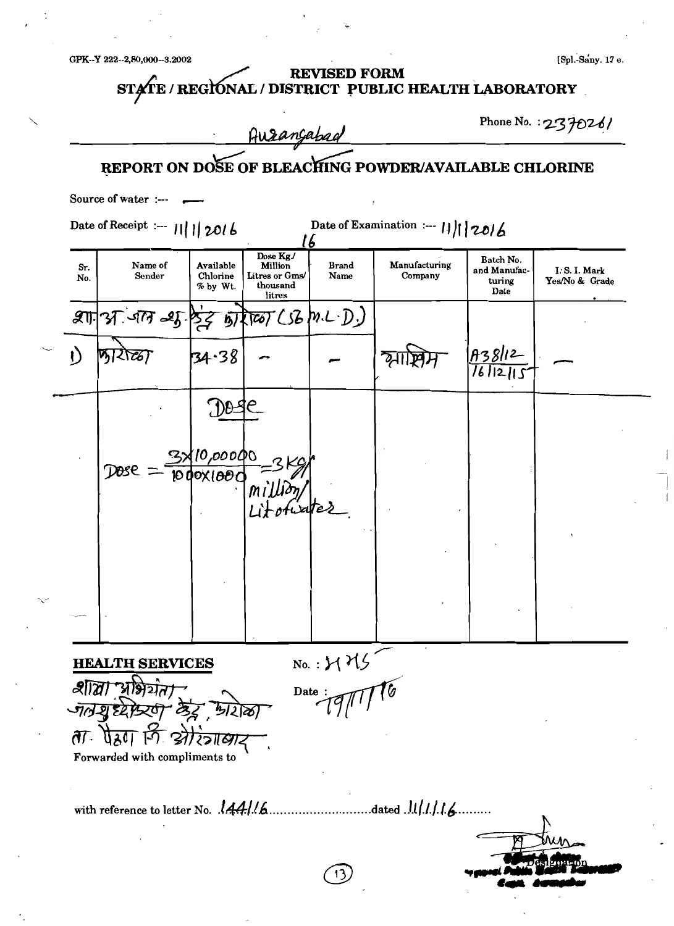GPK--Y 222--2,80,000--3.2002

 $\ddot{\phantom{0}}$ 

| Aurançabad                |                                                                               |                                   |                                                             |                         | Phone No. : 237026/                                   |                                             |                               |
|---------------------------|-------------------------------------------------------------------------------|-----------------------------------|-------------------------------------------------------------|-------------------------|-------------------------------------------------------|---------------------------------------------|-------------------------------|
|                           |                                                                               |                                   |                                                             |                         | REPORT ON DOSE OF BLEACHING POWDER/AVAILABLE CHLORINE |                                             |                               |
|                           | Source of water :--- $\longrightarrow$                                        |                                   |                                                             |                         |                                                       |                                             |                               |
|                           | Date of Receipt :--- $       2016$                                            |                                   |                                                             | 16                      | Date of Examination :--- $    20 \Delta$              |                                             |                               |
| Sr.<br>No.                | Name of<br>Sender                                                             | Available<br>Chlorine<br>% by Wt. | Dose Kg.<br>Million<br>Litres or Gms/<br>thousand<br>litres | <b>Brand</b><br>Name    | Manufacturing<br>Company                              | Batch No.<br>and Manufac-<br>turing<br>Date | I.S.I. Mark<br>Yes/No & Grade |
|                           | $\mathscr{A}$ of $\mathscr{A}$ as $\beta$ $\zeta$ by $\alpha$ (so $\gamma$ ). |                                   |                                                             |                         |                                                       |                                             |                               |
|                           |                                                                               | 34.38                             |                                                             |                         |                                                       |                                             |                               |
|                           |                                                                               | $700 - 9$                         |                                                             |                         |                                                       |                                             |                               |
|                           |                                                                               |                                   |                                                             |                         |                                                       |                                             |                               |
|                           | Dose                                                                          | 10,000QO<br>$1000 \times 100$     |                                                             |                         |                                                       |                                             |                               |
|                           |                                                                               |                                   |                                                             |                         |                                                       |                                             |                               |
|                           |                                                                               |                                   |                                                             |                         |                                                       |                                             |                               |
|                           |                                                                               |                                   |                                                             |                         |                                                       |                                             |                               |
|                           |                                                                               |                                   |                                                             |                         |                                                       |                                             |                               |
|                           |                                                                               |                                   |                                                             |                         |                                                       |                                             |                               |
|                           | <b>HEALTH SERVICES</b>                                                        |                                   |                                                             |                         |                                                       |                                             |                               |
|                           | প্রীর্ত্তা "পঞ্জিয়ন                                                          |                                   |                                                             | $N_0$ .: $MMS$<br>Date: |                                                       |                                             |                               |
|                           | जातेश्वर्धरेश्वरण केंद्र प्रशिक्षा                                            |                                   |                                                             |                         |                                                       |                                             |                               |
| $\partial \overline{f}$ . | पैरुण कि श्री                                                                 |                                   |                                                             |                         |                                                       |                                             |                               |
|                           | Forwarded with compliments to                                                 |                                   |                                                             |                         |                                                       |                                             |                               |
|                           |                                                                               |                                   |                                                             |                         |                                                       |                                             |                               |
|                           |                                                                               |                                   |                                                             |                         |                                                       |                                             |                               |
|                           |                                                                               |                                   |                                                             |                         |                                                       |                                             |                               |
|                           |                                                                               |                                   |                                                             |                         |                                                       |                                             |                               |

تمي

[Spl.-Sany. 17 e.